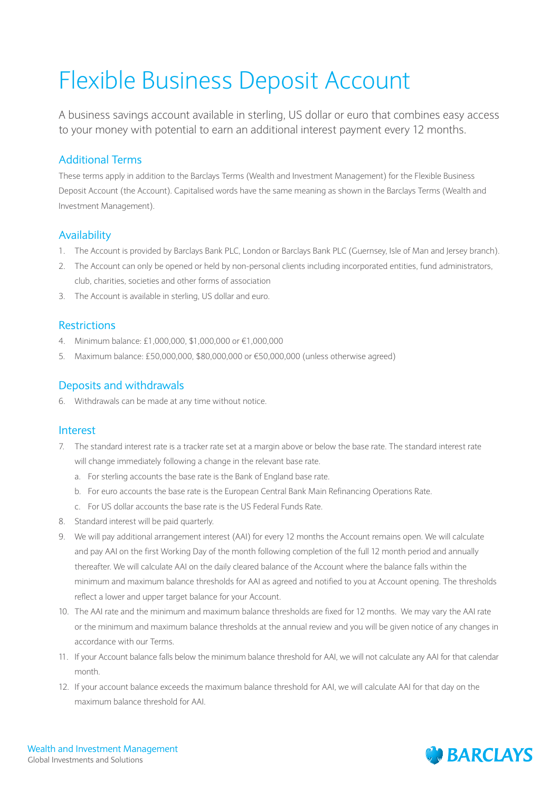# Flexible Business Deposit Account

A business savings account available in sterling, US dollar or euro that combines easy access to your money with potential to earn an additional interest payment every 12 months.

## Additional Terms

These terms apply in addition to the Barclays Terms (Wealth and Investment Management) for the Flexible Business Deposit Account (the Account). Capitalised words have the same meaning as shown in the Barclays Terms (Wealth and Investment Management).

### Availability

- 1. The Account is provided by Barclays Bank PLC, London or Barclays Bank PLC (Guernsey, Isle of Man and Jersey branch).
- 2. The Account can only be opened or held by non-personal clients including incorporated entities, fund administrators, club, charities, societies and other forms of association
- 3. The Account is available in sterling, US dollar and euro.

#### Restrictions

- 4. Minimum balance: £1,000,000, \$1,000,000 or €1,000,000
- 5. Maximum balance: £50,000,000, \$80,000,000 or €50,000,000 (unless otherwise agreed)

#### Deposits and withdrawals

6. Withdrawals can be made at any time without notice.

#### Interest

- 7. The standard interest rate is a tracker rate set at a margin above or below the base rate. The standard interest rate will change immediately following a change in the relevant base rate.
	- a. For sterling accounts the base rate is the Bank of England base rate.
	- b. For euro accounts the base rate is the European Central Bank Main Refinancing Operations Rate.
	- c. For US dollar accounts the base rate is the US Federal Funds Rate.
- 8. Standard interest will be paid quarterly.
- 9. We will pay additional arrangement interest (AAI) for every 12 months the Account remains open. We will calculate and pay AAI on the first Working Day of the month following completion of the full 12 month period and annually thereafter. We will calculate AAI on the daily cleared balance of the Account where the balance falls within the minimum and maximum balance thresholds for AAI as agreed and notified to you at Account opening. The thresholds reflect a lower and upper target balance for your Account.
- 10. The AAI rate and the minimum and maximum balance thresholds are fixed for 12 months. We may vary the AAI rate or the minimum and maximum balance thresholds at the annual review and you will be given notice of any changes in accordance with our Terms.
- 11. If your Account balance falls below the minimum balance threshold for AAI, we will not calculate any AAI for that calendar month.
- 12. If your account balance exceeds the maximum balance threshold for AAI, we will calculate AAI for that day on the maximum balance threshold for AAI.